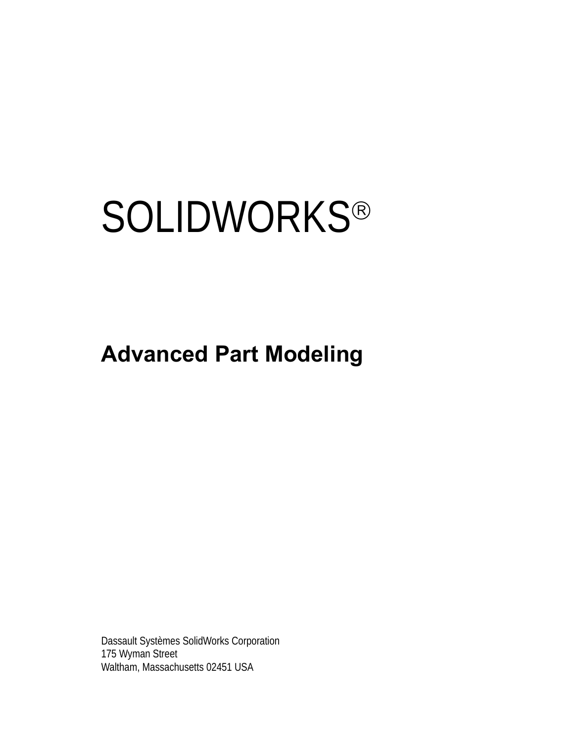# **SOLIDWORKS®**

# **Advanced Part Modeling**

Dassault Systèmes SolidWorks Corporation 175 Wyman Street Waltham, Massachusetts 02451 USA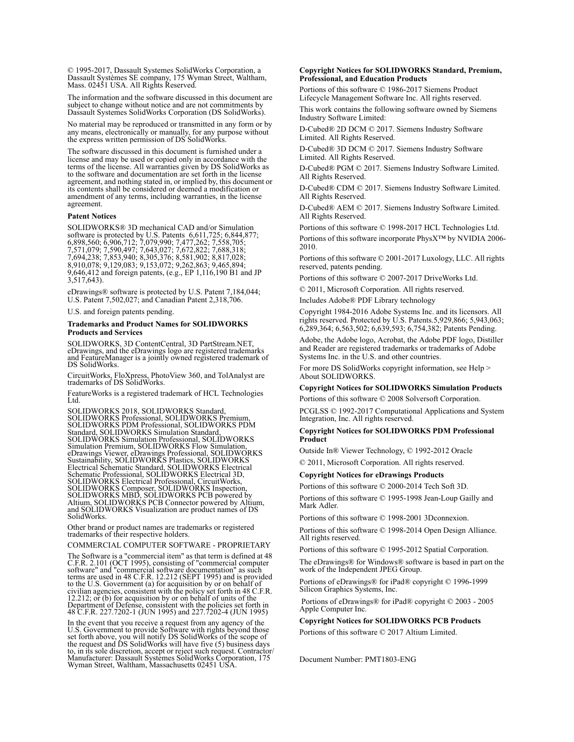© 1995-2017, Dassault Systemes SolidWorks Corporation, a Dassault Systèmes SE company, 175 Wyman Street, Waltham, Mass. 02451 USA. All Rights Reserved.

The information and the software discussed in this document are subject to change without notice and are not commitments by Dassault Systemes SolidWorks Corporation (DS SolidWorks).

No material may be reproduced or transmitted in any form or by any means, electronically or manually, for any purpose without the express written permission of DS SolidWorks.

The software discussed in this document is furnished under a license and may be used or copied only in accordance with the terms of the license. All warranties given by DS SolidWorks as to the software and documentation are set forth in the license agreement, and nothing stated in, or implied by, this document or its contents shall be considered or deemed a modification or amendment of any terms, including warranties, in the license agreement.

#### **Patent Notices**

SOLIDWORKS® 3D mechanical CAD and/or Simulation software is protected by U.S. Patents 6,611,725; 6,844,877; 6,898,560; 6,906,712; 7,079,990; 7,477,262; 7,558,705; 7,571,079; 7,590,497; 7,643,027; 7,672,822; 7,688,318; 7,694,238; 7,853,940; 8,305,376; 8,581,902; 8,817,028; 8,910,078; 9,129,083; 9,153,072; 9,262,863; 9,465,894; 9,646,412 and foreign patents, (e.g., EP 1,116,190 B1 and JP  $3,517,643$ ).

eDrawings® software is protected by U.S. Patent 7,184,044; U.S. Patent 7,502,027; and Canadian Patent 2,318,706.

U.S. and foreign patents pending.

#### **Trademarks and Product Names for SOLIDWORKS Products and Services**

SOLIDWORKS, 3D ContentCentral, 3D PartStream.NET, eDrawings, and the eDrawings logo are registered trademarks and FeatureManager is a jointly owned registered trademark of DS SolidWorks.

CircuitWorks, FloXpress, PhotoView 360, and TolAnalyst are trademarks of DS SolidWorks.

FeatureWorks is a registered trademark of HCL Technologies Ltd.

SOLIDWORKS 2018, SOLIDWORKS Standard, SOLIDWORKS Professional, SOLIDWORKS Premium, SOLIDWORKS PDM Professional, SOLIDWORKS PDM Standard, SOLIDWORKS Simulation Standard, SOLIDWORKS Simulation Professional, SOLIDWORKS<br>Simulation Premium, SOLIDWORKS Flow Simulation,<br>eDrawings Viewer, eDrawings Professional, SOLIDWORKS<br>Sustainability, SOLIDWORKS Plastics, SOLIDWORKS<br>Electrical Schematic Stand SOLIDWORKS Electrical Professional, CircuitWorks,<br>SOLIDWORKS Composer, SOLIDWORKS Inspection,<br>SOLIDWORKS MBD, SOLIDWORKS PCB powered by<br>Altium, SOLIDWORKS PCB Connector powered by Altium,<br>and SOLIDWORKS Visualization are p SolidWorks.

Other brand or product names are trademarks or registered trademarks of their respective holders.

COMMERCIAL COMPUTER SOFTWARE - PROPRIETARY

The Software is a "commercial item" as that term is defined at 48 C.F.R. 2.101 (OCT 1995), consisting of "commercial computer C.F.R. 2.101 (OCT 1995), consisting of "commercial computer<br>software" and "commercial software documentation" as such<br>terms are used in 48 C.F.R. 12.212 (SEPT 1995) and is provided<br>to the U.S. Government (a) for acquisitio 12.212; or (b) for acquisition by or on behalf of units of the Department of Defense, consistent with the policies set forth in 48 C.F.R. 227.7202-1 (JUN 1995) and 227.7202-4 (JUN 1995)

In the event that you receive a request from any agency of the U.S. Government to provide Software with rights beyond those set forth above, you will notify DS SolidWorks of the scope of the request and DS SolidWorks will

### **Copyright Notices for SOLIDWORKS Standard, Premium, Professional, and Education Products**

Portions of this software © 1986-2017 Siemens Product Lifecycle Management Software Inc. All rights reserved.

This work contains the following software owned by Siemens Industry Software Limited:

D-Cubed® 2D DCM © 2017. Siemens Industry Software Limited. All Rights Reserved.

D-Cubed® 3D DCM © 2017. Siemens Industry Software Limited. All Rights Reserved.

D-Cubed® PGM © 2017. Siemens Industry Software Limited. All Rights Reserved.

D-Cubed® CDM © 2017. Siemens Industry Software Limited. All Rights Reserved.

D-Cubed® AEM © 2017. Siemens Industry Software Limited. All Rights Reserved.

Portions of this software © 1998-2017 HCL Technologies Ltd. Portions of this software incorporate PhysX™ by NVIDIA 2006- 2010.

Portions of this software © 2001-2017 Luxology, LLC. All rights reserved, patents pending.

Portions of this software © 2007-2017 DriveWorks Ltd.

© 2011, Microsoft Corporation. All rights reserved.

Includes Adobe® PDF Library technology

Copyright 1984-2016 Adobe Systems Inc. and its licensors. All rights reserved. Protected by U.S. Patents.5,929,866; 5,943,063; 6,289,364; 6,563,502; 6,639,593; 6,754,382; Patents Pending.

Adobe, the Adobe logo, Acrobat, the Adobe PDF logo, Distiller and Reader are registered trademarks or trademarks of Adobe Systems Inc. in the U.S. and other countries.

For more DS SolidWorks copyright information, see Help > About SOLIDWORKS.

### **Copyright Notices for SOLIDWORKS Simulation Products**

Portions of this software © 2008 Solversoft Corporation.

PCGLSS © 1992-2017 Computational Applications and System Integration, Inc. All rights reserved.

### **Copyright Notices for SOLIDWORKS PDM Professional Product**

Outside In® Viewer Technology, © 1992-2012 Oracle © 2011, Microsoft Corporation. All rights reserved.

### **Copyright Notices for eDrawings Products**

Portions of this software © 2000-2014 Tech Soft 3D.

Portions of this software © 1995-1998 Jean-Loup Gailly and Mark Adler.

Portions of this software © 1998-2001 3Dconnexion.

Portions of this software © 1998-2014 Open Design Alliance. All rights reserved.

Portions of this software © 1995-2012 Spatial Corporation.

The eDrawings® for Windows® software is based in part on the work of the Independent JPEG Group.

Portions of eDrawings® for iPad® copyright © 1996-1999 Silicon Graphics Systems, Inc.

 Portions of eDrawings® for iPad® copyright © 2003 - 2005 Apple Computer Inc.

### **Copyright Notices for SOLIDWORKS PCB Products**

Portions of this software © 2017 Altium Limited.

Document Number: PMT1803-ENG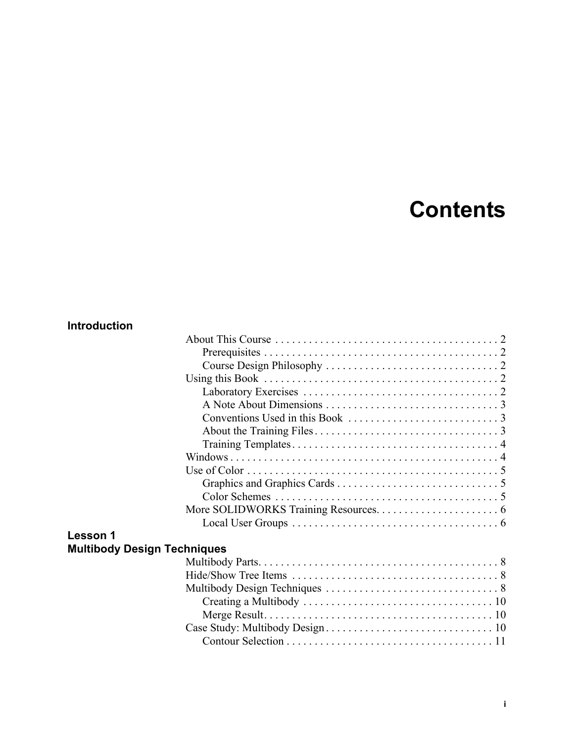# **Contents**

# **Introduction**

| Use of Color $\dots \dots \dots \dots \dots \dots \dots \dots \dots \dots \dots \dots \dots \dots \dots$ |  |  |  |  |  |  |
|----------------------------------------------------------------------------------------------------------|--|--|--|--|--|--|
|                                                                                                          |  |  |  |  |  |  |
|                                                                                                          |  |  |  |  |  |  |
|                                                                                                          |  |  |  |  |  |  |
|                                                                                                          |  |  |  |  |  |  |
| <b>Lesson 1</b>                                                                                          |  |  |  |  |  |  |
| <b>Multibody Design Techniques</b>                                                                       |  |  |  |  |  |  |
|                                                                                                          |  |  |  |  |  |  |
|                                                                                                          |  |  |  |  |  |  |
|                                                                                                          |  |  |  |  |  |  |
|                                                                                                          |  |  |  |  |  |  |
|                                                                                                          |  |  |  |  |  |  |
|                                                                                                          |  |  |  |  |  |  |
|                                                                                                          |  |  |  |  |  |  |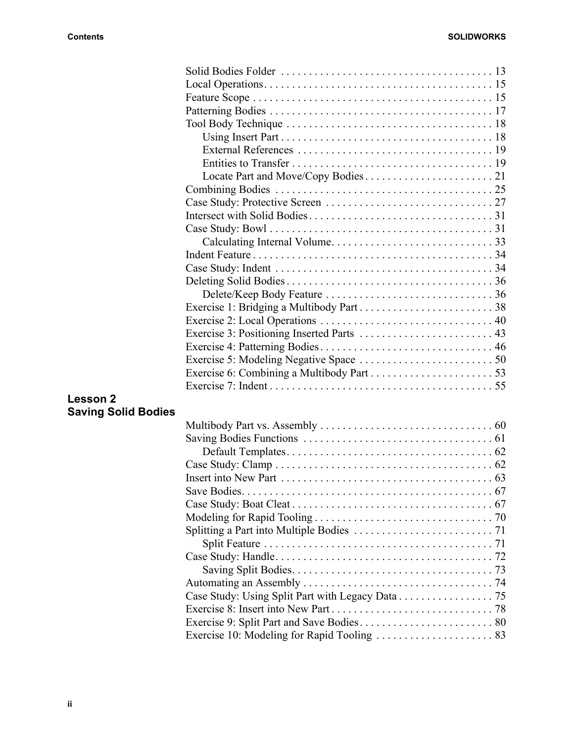|                            | Tool Body Technique $\ldots \ldots \ldots \ldots \ldots \ldots \ldots \ldots \ldots \ldots \ldots \ldots$ |  |
|----------------------------|-----------------------------------------------------------------------------------------------------------|--|
|                            |                                                                                                           |  |
|                            |                                                                                                           |  |
|                            |                                                                                                           |  |
|                            |                                                                                                           |  |
|                            |                                                                                                           |  |
|                            |                                                                                                           |  |
|                            |                                                                                                           |  |
|                            |                                                                                                           |  |
|                            |                                                                                                           |  |
|                            |                                                                                                           |  |
|                            |                                                                                                           |  |
|                            |                                                                                                           |  |
|                            |                                                                                                           |  |
|                            |                                                                                                           |  |
|                            |                                                                                                           |  |
|                            |                                                                                                           |  |
|                            |                                                                                                           |  |
|                            |                                                                                                           |  |
|                            |                                                                                                           |  |
|                            |                                                                                                           |  |
|                            |                                                                                                           |  |
| <b>Lesson 2</b>            |                                                                                                           |  |
| <b>Saving Solid Bodies</b> |                                                                                                           |  |
|                            |                                                                                                           |  |
|                            |                                                                                                           |  |
|                            |                                                                                                           |  |
|                            |                                                                                                           |  |
|                            | Insert into New Part $\dots\dots\dots\dots\dots\dots\dots\dots\dots\dots\dots\dots\dots\dots$ 63          |  |
|                            |                                                                                                           |  |
|                            |                                                                                                           |  |
|                            |                                                                                                           |  |
|                            |                                                                                                           |  |
|                            |                                                                                                           |  |
|                            |                                                                                                           |  |
|                            |                                                                                                           |  |
|                            | Case Study: Using Split Part with Legacy Data 75                                                          |  |
|                            |                                                                                                           |  |
|                            |                                                                                                           |  |
|                            |                                                                                                           |  |

Exercise 10: Modeling for Rapid Tooling . . . . . . . . . . . . . . . . . . . . . 83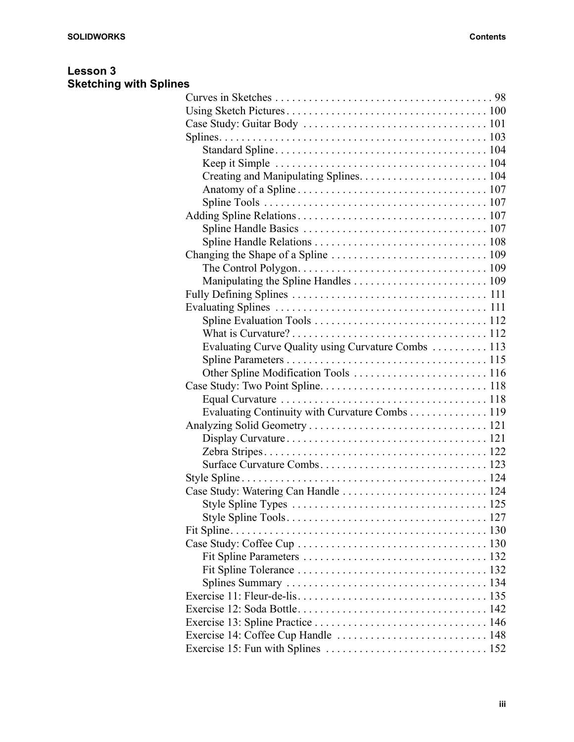## **Lesson 3 Sketching with Splines**

| Evaluating Curve Quality using Curvature Combs  113 |
|-----------------------------------------------------|
|                                                     |
|                                                     |
|                                                     |
|                                                     |
| Evaluating Continuity with Curvature Combs 119      |
|                                                     |
|                                                     |
|                                                     |
|                                                     |
|                                                     |
| Case Study: Watering Can Handle  124                |
|                                                     |
|                                                     |
|                                                     |
|                                                     |
|                                                     |
|                                                     |
|                                                     |
|                                                     |
|                                                     |
|                                                     |
| Exercise 14: Coffee Cup Handle  148                 |
|                                                     |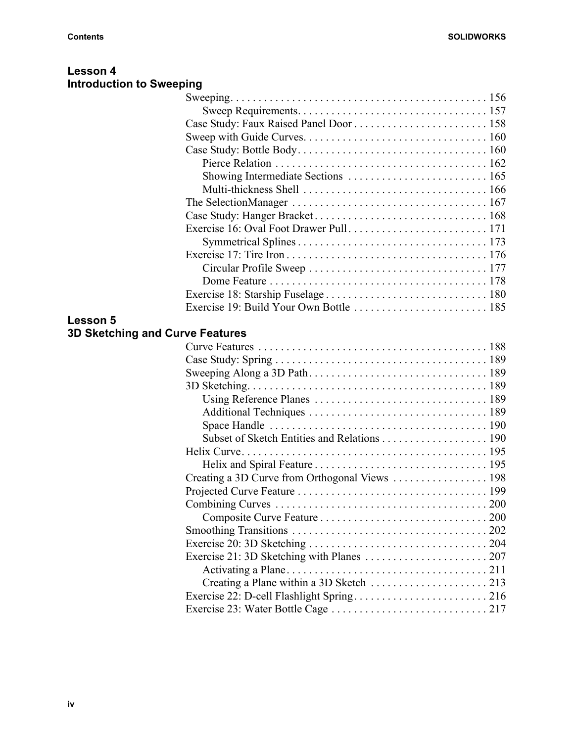**Lesson 4**

| <b>Introduction to Sweeping</b> |                                        |
|---------------------------------|----------------------------------------|
|                                 |                                        |
|                                 |                                        |
|                                 |                                        |
|                                 |                                        |
|                                 |                                        |
|                                 |                                        |
|                                 |                                        |
|                                 |                                        |
|                                 |                                        |
|                                 |                                        |
|                                 |                                        |
|                                 |                                        |
|                                 |                                        |
|                                 |                                        |
|                                 |                                        |
|                                 |                                        |
|                                 |                                        |
|                                 |                                        |
|                                 |                                        |
|                                 |                                        |
|                                 |                                        |
|                                 |                                        |
|                                 |                                        |
|                                 |                                        |
|                                 |                                        |
|                                 |                                        |
|                                 |                                        |
|                                 |                                        |
|                                 |                                        |
|                                 |                                        |
|                                 |                                        |
|                                 |                                        |
|                                 |                                        |
|                                 |                                        |
|                                 |                                        |
|                                 |                                        |
|                                 |                                        |
|                                 |                                        |
|                                 |                                        |
|                                 | <b>3D Sketching and Curve Features</b> |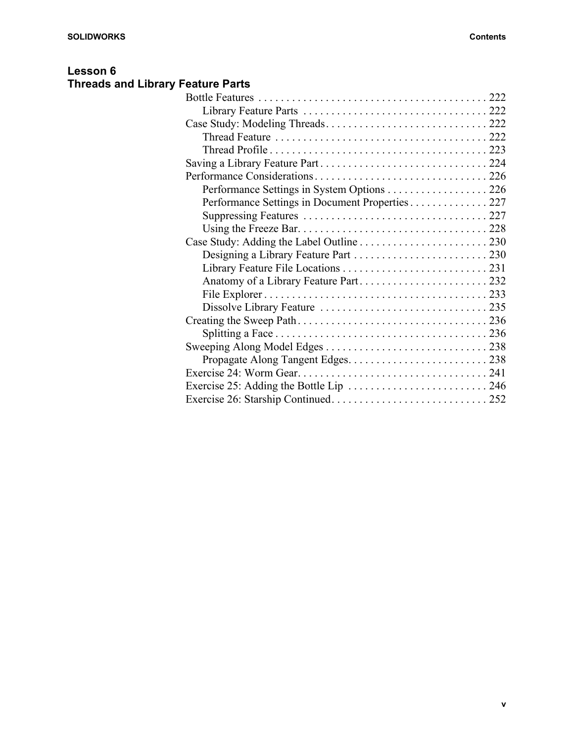# **Lesson 6 Threads and Library Feature Parts**

| Performance Settings in System Options 226      |
|-------------------------------------------------|
| Performance Settings in Document Properties 227 |
|                                                 |
|                                                 |
|                                                 |
|                                                 |
|                                                 |
|                                                 |
|                                                 |
|                                                 |
|                                                 |
|                                                 |
|                                                 |
|                                                 |
|                                                 |
|                                                 |
|                                                 |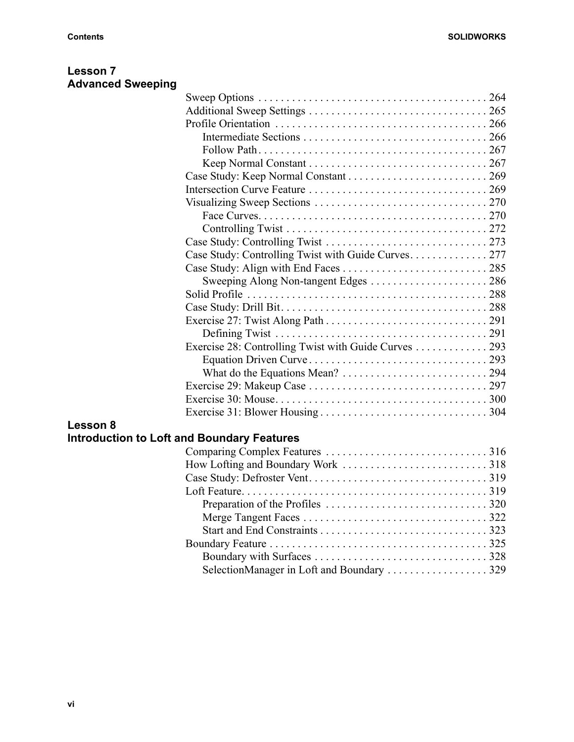| <b>Lesson 7</b>          |  |
|--------------------------|--|
| <b>Advanced Sweeping</b> |  |

| Visualizing Sweep Sections $\ldots \ldots \ldots \ldots \ldots \ldots \ldots \ldots \ldots \ldots 270$ |  |
|--------------------------------------------------------------------------------------------------------|--|
|                                                                                                        |  |
|                                                                                                        |  |
|                                                                                                        |  |
| Case Study: Controlling Twist with Guide Curves 277                                                    |  |
|                                                                                                        |  |
|                                                                                                        |  |
|                                                                                                        |  |
|                                                                                                        |  |
|                                                                                                        |  |
|                                                                                                        |  |
| Exercise 28: Controlling Twist with Guide Curves 293                                                   |  |
|                                                                                                        |  |
|                                                                                                        |  |
|                                                                                                        |  |
|                                                                                                        |  |
|                                                                                                        |  |
|                                                                                                        |  |

# **Lesson 8**

# **Introduction to Loft and Boundary Features**

| SelectionManager in Loft and Boundary  329 |  |
|--------------------------------------------|--|
|                                            |  |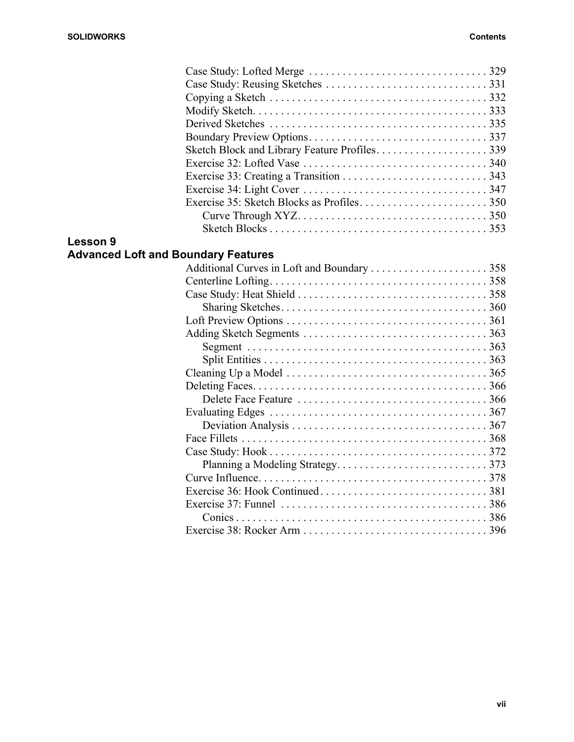| Copying a Sketch $\ldots \ldots \ldots \ldots \ldots \ldots \ldots \ldots \ldots \ldots \ldots \ldots$ 332 |
|------------------------------------------------------------------------------------------------------------|
|                                                                                                            |
|                                                                                                            |
|                                                                                                            |
| Sketch Block and Library Feature Profiles339                                                               |
|                                                                                                            |
|                                                                                                            |
|                                                                                                            |
|                                                                                                            |
|                                                                                                            |
|                                                                                                            |
|                                                                                                            |

### **Lesson 9 Advanced Loft and Boundary Features**

| Cleaning Up a Model $\ldots \ldots \ldots \ldots \ldots \ldots \ldots \ldots \ldots \ldots \ldots \ldots$ 365 |
|---------------------------------------------------------------------------------------------------------------|
|                                                                                                               |
|                                                                                                               |
|                                                                                                               |
|                                                                                                               |
|                                                                                                               |
|                                                                                                               |
|                                                                                                               |
|                                                                                                               |
|                                                                                                               |
|                                                                                                               |
|                                                                                                               |
|                                                                                                               |